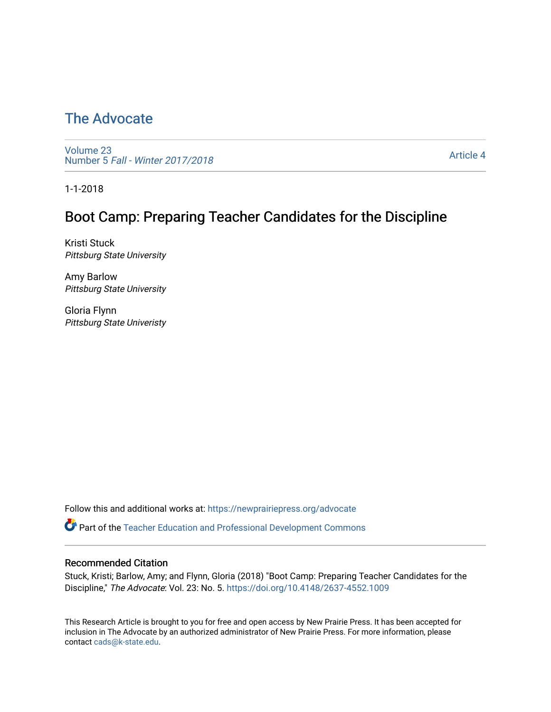# [The Advocate](https://newprairiepress.org/advocate)

[Volume 23](https://newprairiepress.org/advocate/vol23) Number 5 [Fall - Winter 2017/2018](https://newprairiepress.org/advocate/vol23/iss5) 

[Article 4](https://newprairiepress.org/advocate/vol23/iss5/4) 

1-1-2018

## Boot Camp: Preparing Teacher Candidates for the Discipline

Kristi Stuck Pittsburg State University

Amy Barlow Pittsburg State University

Gloria Flynn Pittsburg State Univeristy

Follow this and additional works at: [https://newprairiepress.org/advocate](https://newprairiepress.org/advocate?utm_source=newprairiepress.org%2Fadvocate%2Fvol23%2Fiss5%2F4&utm_medium=PDF&utm_campaign=PDFCoverPages) 

Part of the [Teacher Education and Professional Development Commons](http://network.bepress.com/hgg/discipline/803?utm_source=newprairiepress.org%2Fadvocate%2Fvol23%2Fiss5%2F4&utm_medium=PDF&utm_campaign=PDFCoverPages) 

## Recommended Citation

Stuck, Kristi; Barlow, Amy; and Flynn, Gloria (2018) "Boot Camp: Preparing Teacher Candidates for the Discipline," The Advocate: Vol. 23: No. 5.<https://doi.org/10.4148/2637-4552.1009>

This Research Article is brought to you for free and open access by New Prairie Press. It has been accepted for inclusion in The Advocate by an authorized administrator of New Prairie Press. For more information, please contact [cads@k-state.edu](mailto:cads@k-state.edu).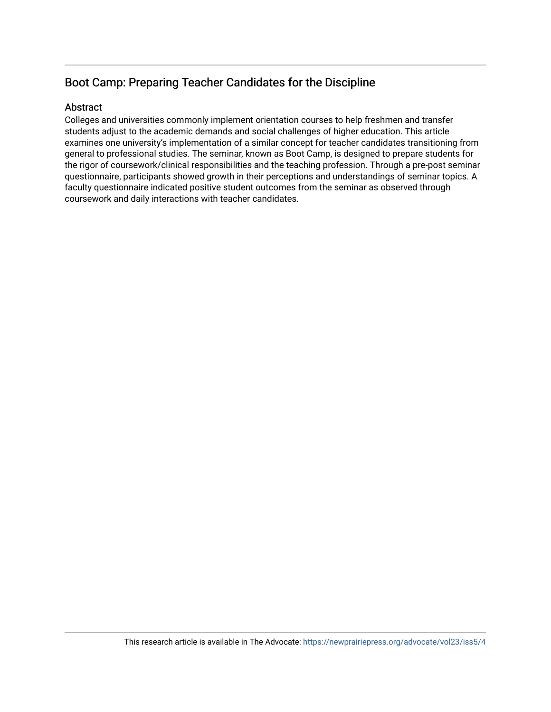## Boot Camp: Preparing Teacher Candidates for the Discipline

## Abstract

Colleges and universities commonly implement orientation courses to help freshmen and transfer students adjust to the academic demands and social challenges of higher education. This article examines one university's implementation of a similar concept for teacher candidates transitioning from general to professional studies. The seminar, known as Boot Camp, is designed to prepare students for the rigor of coursework/clinical responsibilities and the teaching profession. Through a pre-post seminar questionnaire, participants showed growth in their perceptions and understandings of seminar topics. A faculty questionnaire indicated positive student outcomes from the seminar as observed through coursework and daily interactions with teacher candidates.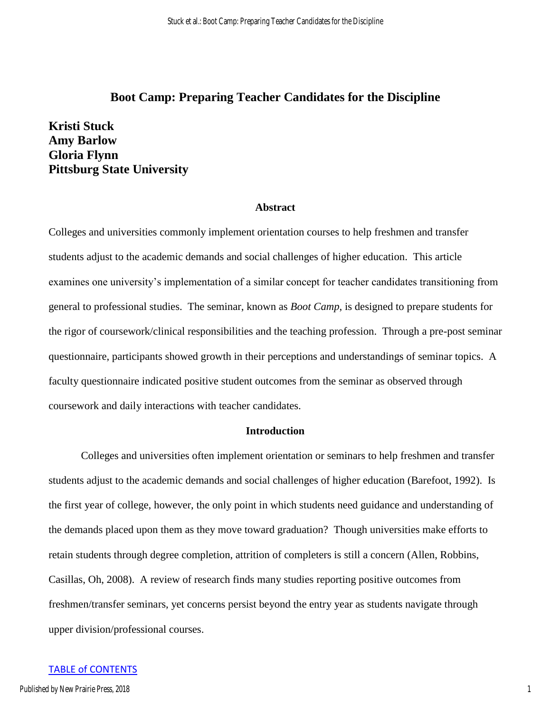## **Boot Camp: Preparing Teacher Candidates for the Discipline**

**Kristi Stuck Amy Barlow Gloria Flynn Pittsburg State University** 

#### **Abstract**

Colleges and universities commonly implement orientation courses to help freshmen and transfer students adjust to the academic demands and social challenges of higher education. This article examines one university's implementation of a similar concept for teacher candidates transitioning from general to professional studies. The seminar, known as *Boot Camp*, is designed to prepare students for the rigor of coursework/clinical responsibilities and the teaching profession. Through a pre-post seminar questionnaire, participants showed growth in their perceptions and understandings of seminar topics. A faculty questionnaire indicated positive student outcomes from the seminar as observed through coursework and daily interactions with teacher candidates.

## **Introduction**

Colleges and universities often implement orientation or seminars to help freshmen and transfer students adjust to the academic demands and social challenges of higher education (Barefoot, 1992). Is the first year of college, however, the only point in which students need guidance and understanding of the demands placed upon them as they move toward graduation? Though universities make efforts to retain students through degree completion, attrition of completers is still a concern (Allen, Robbins, Casillas, Oh, 2008). A review of research finds many studies reporting positive outcomes from freshmen/transfer seminars, yet concerns persist beyond the entry year as students navigate through upper division/professional courses.

#### TABLE of CONTENTS

1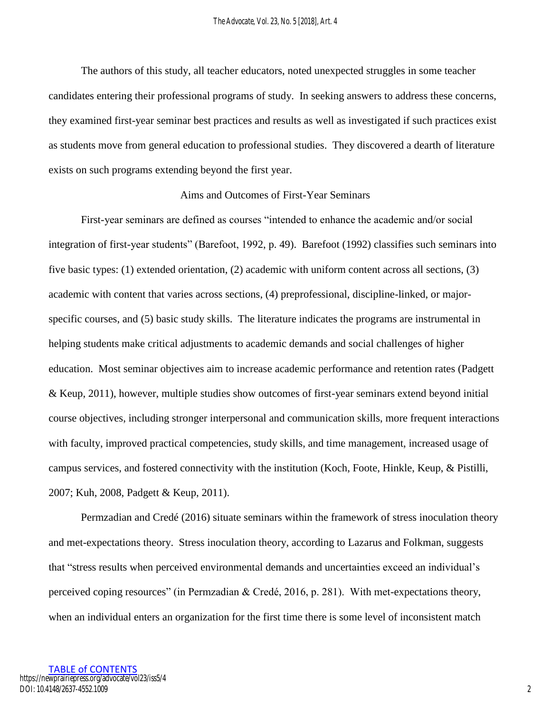The authors of this study, all teacher educators, noted unexpected struggles in some teacher candidates entering their professional programs of study. In seeking answers to address these concerns, they examined first-year seminar best practices and results as well as investigated if such practices exist as students move from general education to professional studies. They discovered a dearth of literature exists on such programs extending beyond the first year.

## Aims and Outcomes of First-Year Seminars

First-year seminars are defined as courses "intended to enhance the academic and/or social integration of first-year students" (Barefoot, 1992, p. 49). Barefoot (1992) classifies such seminars into five basic types: (1) extended orientation, (2) academic with uniform content across all sections, (3) academic with content that varies across sections, (4) preprofessional, discipline-linked, or majorspecific courses, and (5) basic study skills. The literature indicates the programs are instrumental in helping students make critical adjustments to academic demands and social challenges of higher education. Most seminar objectives aim to increase academic performance and retention rates (Padgett & Keup, 2011), however, multiple studies show outcomes of first-year seminars extend beyond initial course objectives, including stronger interpersonal and communication skills, more frequent interactions with faculty, improved practical competencies, study skills, and time management, increased usage of campus services, and fostered connectivity with the institution (Koch, Foote, Hinkle, Keup, & Pistilli, 2007; Kuh, 2008, Padgett & Keup, 2011).

Permzadian and Credé (2016) situate seminars within the framework of stress inoculation theory and met-expectations theory. Stress inoculation theory, according to Lazarus and Folkman, suggests that "stress results when perceived environmental demands and uncertainties exceed an individual's perceived coping resources" (in Permzadian & Credé, 2016, p. 281). With met-expectations theory, when an individual enters an organization for the first time there is some level of inconsistent match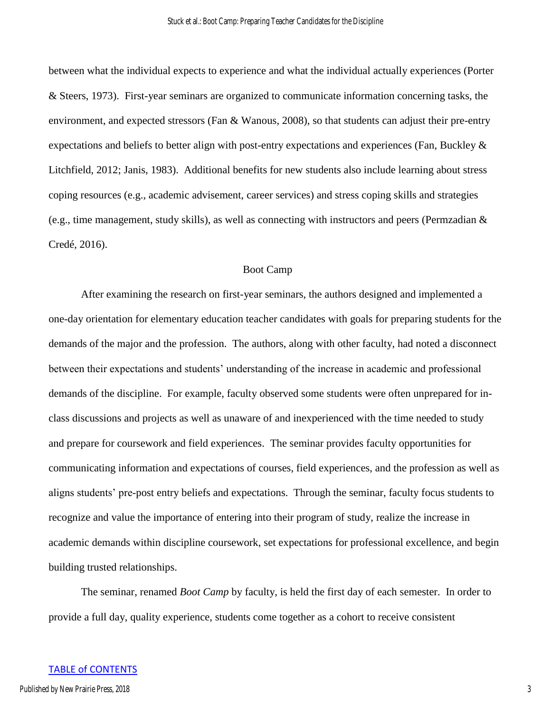between what the individual expects to experience and what the individual actually experiences (Porter & Steers, 1973). First-year seminars are organized to communicate information concerning tasks, the environment, and expected stressors (Fan & Wanous, 2008), so that students can adjust their pre-entry expectations and beliefs to better align with post-entry expectations and experiences (Fan, Buckley & Litchfield, 2012; Janis, 1983). Additional benefits for new students also include learning about stress coping resources (e.g., academic advisement, career services) and stress coping skills and strategies (e.g., time management, study skills), as well as connecting with instructors and peers (Permzadian & Credé, 2016).

### Boot Camp

 After examining the research on first-year seminars, the authors designed and implemented a one-day orientation for elementary education teacher candidates with goals for preparing students for the demands of the major and the profession. The authors, along with other faculty, had noted a disconnect between their expectations and students' understanding of the increase in academic and professional demands of the discipline. For example, faculty observed some students were often unprepared for inclass discussions and projects as well as unaware of and inexperienced with the time needed to study and prepare for coursework and field experiences. The seminar provides faculty opportunities for communicating information and expectations of courses, field experiences, and the profession as well as aligns students' pre-post entry beliefs and expectations. Through the seminar, faculty focus students to recognize and value the importance of entering into their program of study, realize the increase in academic demands within discipline coursework, set expectations for professional excellence, and begin building trusted relationships.

 The seminar, renamed *Boot Camp* by faculty, is held the first day of each semester. In order to provide a full day, quality experience, students come together as a cohort to receive consistent

#### TABLE of CONTENTS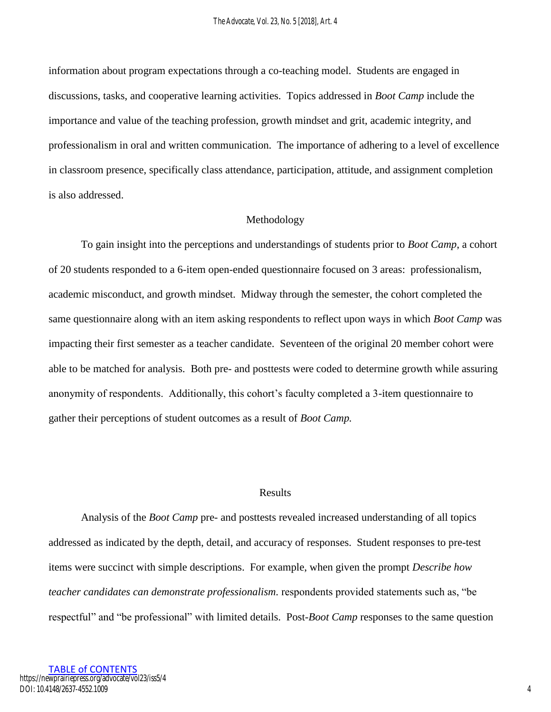information about program expectations through a co-teaching model. Students are engaged in discussions, tasks, and cooperative learning activities. Topics addressed in *Boot Camp* include the importance and value of the teaching profession, growth mindset and grit, academic integrity, and professionalism in oral and written communication. The importance of adhering to a level of excellence in classroom presence, specifically class attendance, participation, attitude, and assignment completion is also addressed.

### Methodology

 To gain insight into the perceptions and understandings of students prior to *Boot Camp*, a cohort of 20 students responded to a 6-item open-ended questionnaire focused on 3 areas: professionalism, academic misconduct, and growth mindset. Midway through the semester, the cohort completed the same questionnaire along with an item asking respondents to reflect upon ways in which *Boot Camp* was impacting their first semester as a teacher candidate. Seventeen of the original 20 member cohort were able to be matched for analysis. Both pre- and posttests were coded to determine growth while assuring anonymity of respondents. Additionally, this cohort's faculty completed a 3-item questionnaire to gather their perceptions of student outcomes as a result of *Boot Camp.* 

### Results

 Analysis of the *Boot Camp* pre- and posttests revealed increased understanding of all topics addressed as indicated by the depth, detail, and accuracy of responses. Student responses to pre-test items were succinct with simple descriptions. For example, when given the prompt *Describe how teacher candidates can demonstrate professionalism.* respondents provided statements such as, "be respectful" and "be professional" with limited details. Post-*Boot Camp* responses to the same question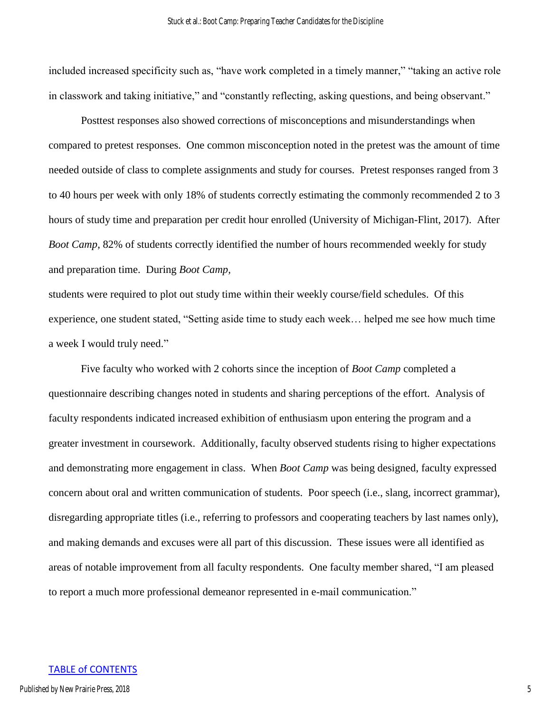included increased specificity such as, "have work completed in a timely manner," "taking an active role in classwork and taking initiative," and "constantly reflecting, asking questions, and being observant."

Posttest responses also showed corrections of misconceptions and misunderstandings when compared to pretest responses. One common misconception noted in the pretest was the amount of time needed outside of class to complete assignments and study for courses. Pretest responses ranged from 3 to 40 hours per week with only 18% of students correctly estimating the commonly recommended 2 to 3 hours of study time and preparation per credit hour enrolled (University of Michigan-Flint, 2017). After *Boot Camp*, 82% of students correctly identified the number of hours recommended weekly for study and preparation time. During *Boot Camp,* 

students were required to plot out study time within their weekly course/field schedules. Of this experience, one student stated, "Setting aside time to study each week… helped me see how much time a week I would truly need."

 Five faculty who worked with 2 cohorts since the inception of *Boot Camp* completed a questionnaire describing changes noted in students and sharing perceptions of the effort. Analysis of faculty respondents indicated increased exhibition of enthusiasm upon entering the program and a greater investment in coursework. Additionally, faculty observed students rising to higher expectations and demonstrating more engagement in class. When *Boot Camp* was being designed, faculty expressed concern about oral and written communication of students. Poor speech (i.e., slang, incorrect grammar), disregarding appropriate titles (i.e., referring to professors and cooperating teachers by last names only), and making demands and excuses were all part of this discussion. These issues were all identified as areas of notable improvement from all faculty respondents. One faculty member shared, "I am pleased to report a much more professional demeanor represented in e-mail communication."

#### TABLE of CONTENTS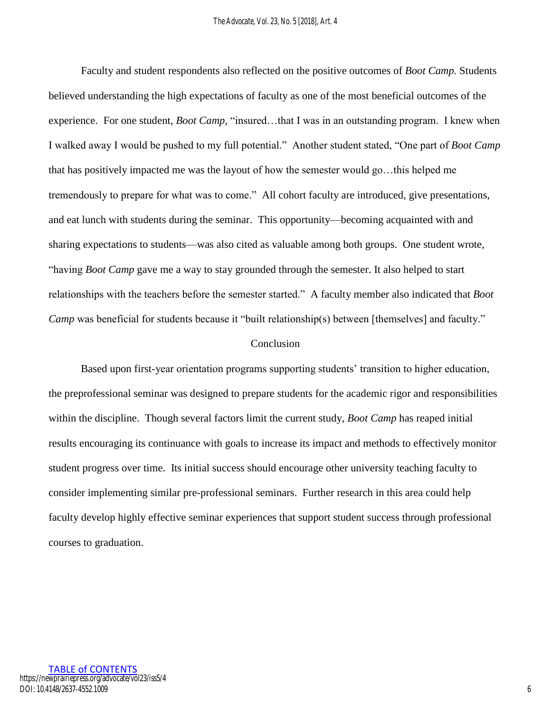Faculty and student respondents also reflected on the positive outcomes of *Boot Camp.* Students believed understanding the high expectations of faculty as one of the most beneficial outcomes of the experience. For one student, *Boot Camp,* "insured…that I was in an outstanding program. I knew when I walked away I would be pushed to my full potential." Another student stated, "One part of *Boot Camp* that has positively impacted me was the layout of how the semester would go…this helped me tremendously to prepare for what was to come." All cohort faculty are introduced, give presentations, and eat lunch with students during the seminar. This opportunity—becoming acquainted with and sharing expectations to students—was also cited as valuable among both groups. One student wrote, "having *Boot Camp* gave me a way to stay grounded through the semester. It also helped to start relationships with the teachers before the semester started." A faculty member also indicated that *Boot Camp* was beneficial for students because it "built relationship(s) between [themselves] and faculty."

## Conclusion

Based upon first-year orientation programs supporting students' transition to higher education, the preprofessional seminar was designed to prepare students for the academic rigor and responsibilities within the discipline. Though several factors limit the current study, *Boot Camp* has reaped initial results encouraging its continuance with goals to increase its impact and methods to effectively monitor student progress over time. Its initial success should encourage other university teaching faculty to consider implementing similar pre-professional seminars. Further research in this area could help faculty develop highly effective seminar experiences that support student success through professional courses to graduation.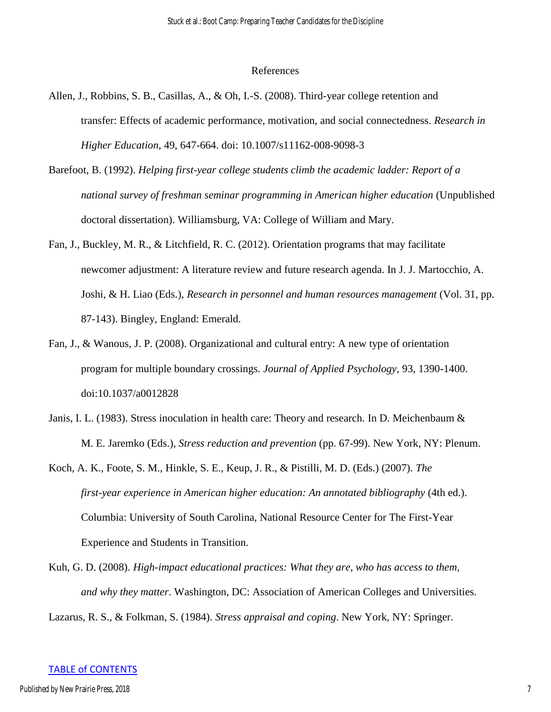#### References

- Allen, J., Robbins, S. B., Casillas, A., & Oh, I.-S. (2008). Third-year college retention and transfer: Effects of academic performance, motivation, and social connectedness. *Research in Higher Education*, 49, 647-664. doi: 10.1007/s11162-008-9098-3
- Barefoot, B. (1992). *Helping first-year college students climb the academic ladder: Report of a national survey of freshman seminar programming in American higher education* (Unpublished doctoral dissertation). Williamsburg, VA: College of William and Mary.
- Fan, J., Buckley, M. R., & Litchfield, R. C. (2012). Orientation programs that may facilitate newcomer adjustment: A literature review and future research agenda. In J. J. Martocchio, A. Joshi, & H. Liao (Eds.), *Research in personnel and human resources management* (Vol. 31, pp. 87-143). Bingley, England: Emerald.
- Fan, J., & Wanous, J. P. (2008). Organizational and cultural entry: A new type of orientation program for multiple boundary crossings. *Journal of Applied Psychology*, 93, 1390-1400. doi:10.1037/a0012828
- Janis, I. L. (1983). Stress inoculation in health care: Theory and research. In D. Meichenbaum & M. E. Jaremko (Eds.), *Stress reduction and prevention* (pp. 67-99). New York, NY: Plenum.
- Koch, A. K., Foote, S. M., Hinkle, S. E., Keup, J. R., & Pistilli, M. D. (Eds.) (2007). *The first-year experience in American higher education: An annotated bibliography* (4th ed.). Columbia: University of South Carolina, National Resource Center for The First-Year Experience and Students in Transition.
- Kuh, G. D. (2008). *High-impact educational practices: What they are, who has access to them, and why they matter*. Washington, DC: Association of American Colleges and Universities.

Lazarus, R. S., & Folkman, S. (1984). *Stress appraisal and coping*. New York, NY: Springer.

#### TABLE of CONTENTS